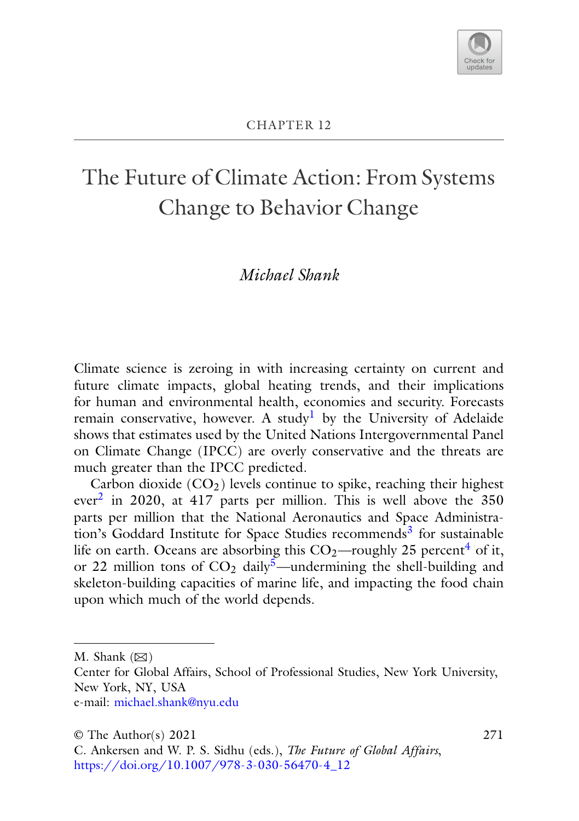

# The Future of Climate Action: From Systems Change to Behavior Change

# *Michael Shank*

Climate science is zeroing in with increasing certainty on current and future climate impacts, global heating trends, and their implications for human and environmental health, economies and security. Forecasts remain conservative, however. A study<sup>1</sup> by the University of Adelaide shows that estimates used by the United Nations Intergovernmental Panel on Climate Change (IPCC) are overly conservative and the threats are much greater than the IPCC predicted.

Carbon dioxide  $(CO_2)$  levels continue to spike, reaching their highest ever<sup>[2](#page-19-0)</sup> in 2020, at 417 parts per million. This is well above the  $350$ parts per million that the National Aeronautics and Space Administra-tion's Goddard Institute for Space Studies recommends<sup>[3](#page-19-0)</sup> for sustainable life on earth. Oceans are absorbing this  $CO_2$ —roughly 25 percent<sup>[4](#page-19-0)</sup> of it, or 22 million tons of  $CO<sub>2</sub>$  daily<sup>5</sup>—undermining the shell-building and skeleton-building capacities of marine life, and impacting the food chain upon which much of the world depends.

M. Shank  $(\boxtimes)$ 

Center for Global Affairs, School of Professional Studies, New York University, New York, NY, USA e-mail: [michael.shank@nyu.edu](mailto:michael.shank@nyu.edu)

271

<sup>©</sup> The Author(s) 2021

C. Ankersen and W. P. S. Sidhu (eds.), *The Future of Global Affairs*, [https://doi.org/10.1007/978-3-030-56470-4\\_12](https://doi.org/10.1007/978-3-030-56470-4_12)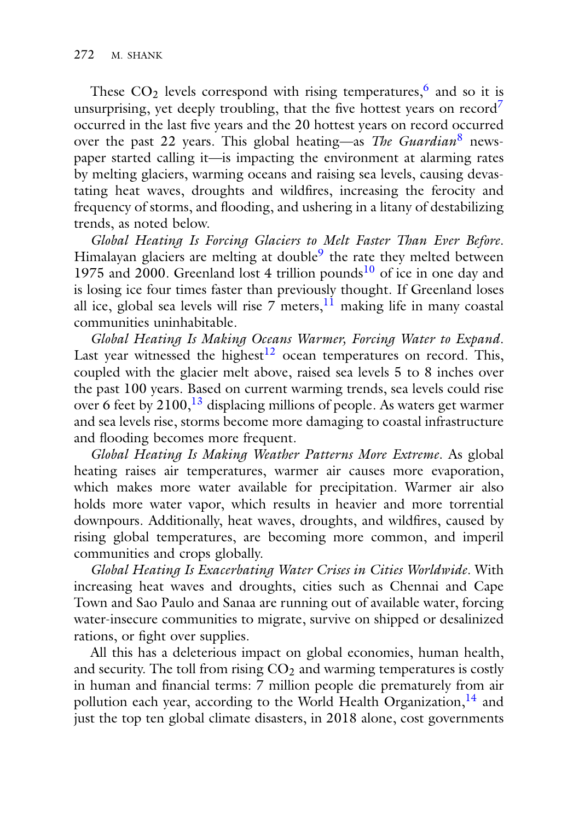These  $CO<sub>2</sub>$  levels correspond with rising temperatures,<sup>6</sup> and so it is unsurprising, yet deeply troubling, that the five hottest years on record<sup>7</sup> occurred in the last five years and the 20 hottest years on record occurred over the past 22 years. This global heating—as *The Guardian*[8](#page-19-0) newspaper started calling it—is impacting the environment at alarming rates by melting glaciers, warming oceans and raising sea levels, causing devastating heat waves, droughts and wildfires, increasing the ferocity and frequency of storms, and flooding, and ushering in a litany of destabilizing trends, as noted below.

*Global Heating Is Forcing Glaciers to Melt Faster Than Ever Before*. Himalayan glaciers are melting at double<sup>9</sup> the rate they melted between 1975 and 2000. Greenland lost 4 trillion pounds<sup>10</sup> of ice in one day and is losing ice four times faster than previously thought. If Greenland loses all ice, global sea levels will rise  $\overline{7}$  meters,  $11$  making life in many coastal communities uninhabitable.

*Global Heating Is Making Oceans Warmer, Forcing Water to Expand*. Last year witnessed the highest $12$  ocean temperatures on record. This, coupled with the glacier melt above, raised sea levels 5 to 8 inches over the past 100 years. Based on current warming trends, sea levels could rise over 6 feet by 2100,<sup>13</sup> displacing millions of people. As waters get warmer and sea levels rise, storms become more damaging to coastal infrastructure and flooding becomes more frequent.

*Global Heating Is Making Weather Patterns More Extreme*. As global heating raises air temperatures, warmer air causes more evaporation, which makes more water available for precipitation. Warmer air also holds more water vapor, which results in heavier and more torrential downpours. Additionally, heat waves, droughts, and wildfires, caused by rising global temperatures, are becoming more common, and imperil communities and crops globally.

*Global Heating Is Exacerbating Water Crises in Cities Worldwide*. With increasing heat waves and droughts, cities such as Chennai and Cape Town and Sao Paulo and Sanaa are running out of available water, forcing water-insecure communities to migrate, survive on shipped or desalinized rations, or fight over supplies.

All this has a deleterious impact on global economies, human health, and security. The toll from rising  $CO<sub>2</sub>$  and warming temperatures is costly in human and financial terms: 7 million people die prematurely from air pollution each year, according to the World Health Organization,<sup>[14](#page-19-0)</sup> and just the top ten global climate disasters, in 2018 alone, cost governments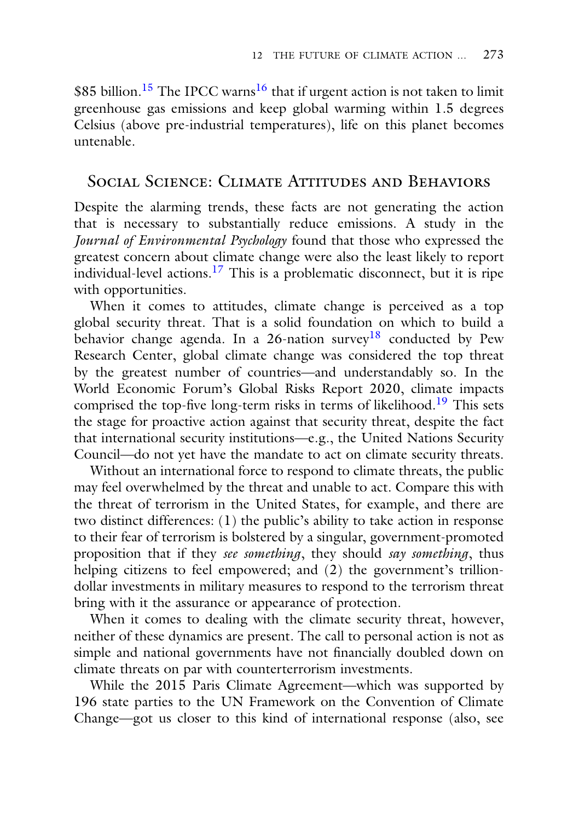\$85 billion.<sup>[15](#page-19-0)</sup> The IPCC warns<sup>[16](#page-19-0)</sup> that if urgent action is not taken to limit greenhouse gas emissions and keep global warming within 1.5 degrees Celsius (above pre-industrial temperatures), life on this planet becomes untenable.

## SOCIAL SCIENCE: CLIMATE ATTITUDES AND BEHAVIORS

Despite the alarming trends, these facts are not generating the action that is necessary to substantially reduce emissions. A study in the *Journal of Environmental Psychology* found that those who expressed the greatest concern about climate change were also the least likely to report individual-level actions.<sup>17</sup> This is a problematic disconnect, but it is ripe with opportunities.

When it comes to attitudes, climate change is perceived as a top global security threat. That is a solid foundation on which to build a behavior change agenda. In a 26-nation survey<sup>[18](#page-19-0)</sup> conducted by Pew Research Center, global climate change was considered the top threat by the greatest number of countries—and understandably so. In the World Economic Forum's Global Risks Report 2020, climate impacts comprised the top-five long-term risks in terms of likelihood.<sup>19</sup> This sets the stage for proactive action against that security threat, despite the fact that international security institutions—e.g., the United Nations Security Council—do not yet have the mandate to act on climate security threats.

Without an international force to respond to climate threats, the public may feel overwhelmed by the threat and unable to act. Compare this with the threat of terrorism in the United States, for example, and there are two distinct differences: (1) the public's ability to take action in response to their fear of terrorism is bolstered by a singular, government-promoted proposition that if they *see something*, they should *say something*, thus helping citizens to feel empowered; and (2) the government's trilliondollar investments in military measures to respond to the terrorism threat bring with it the assurance or appearance of protection.

When it comes to dealing with the climate security threat, however, neither of these dynamics are present. The call to personal action is not as simple and national governments have not financially doubled down on climate threats on par with counterterrorism investments.

While the 2015 Paris Climate Agreement—which was supported by 196 state parties to the UN Framework on the Convention of Climate Change—got us closer to this kind of international response (also, see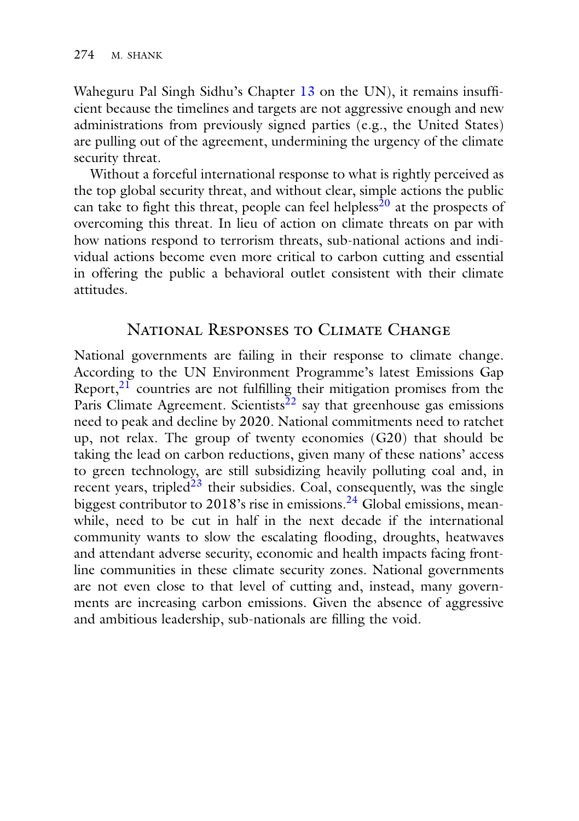Waheguru Pal Singh Sidhu's Chapter 13 on the UN), it remains insufficient because the timelines and targets are not aggressive enough and new administrations from previously signed parties (e.g., the United States) are pulling out of the agreement, undermining the urgency of the climate security threat.

Without a forceful international response to what is rightly perceived as the top global security threat, and without clear, simple actions the public can take to fight this threat, people can feel helpless<sup>[20](#page-19-0)</sup> at the prospects of overcoming this threat. In lieu of action on climate threats on par with how nations respond to terrorism threats, sub-national actions and individual actions become even more critical to carbon cutting and essential in offering the public a behavioral outlet consistent with their climate attitudes.

## NATIONAL RESPONSES TO CLIMATE CHANGE

National governments are failing in their response to climate change. According to the UN Environment Programme's latest Emissions Gap Report,<sup>21</sup> countries are not fulfilling their mitigation promises from the Paris Climate Agreement. Scientists<sup> $22$ </sup> say that greenhouse gas emissions need to peak and decline by 2020. National commitments need to ratchet up, not relax. The group of twenty economies (G20) that should be taking the lead on carbon reductions, given many of these nations' access to green technology, are still subsidizing heavily polluting coal and, in recent years, tripled $\frac{23}{3}$  their subsidies. Coal, consequently, was the single biggest contributor to 2018's rise in emissions.<sup>[24](#page-19-0)</sup> Global emissions, meanwhile, need to be cut in half in the next decade if the international community wants to slow the escalating flooding, droughts, heatwaves and attendant adverse security, economic and health impacts facing frontline communities in these climate security zones. National governments are not even close to that level of cutting and, instead, many governments are increasing carbon emissions. Given the absence of aggressive and ambitious leadership, sub-nationals are filling the void.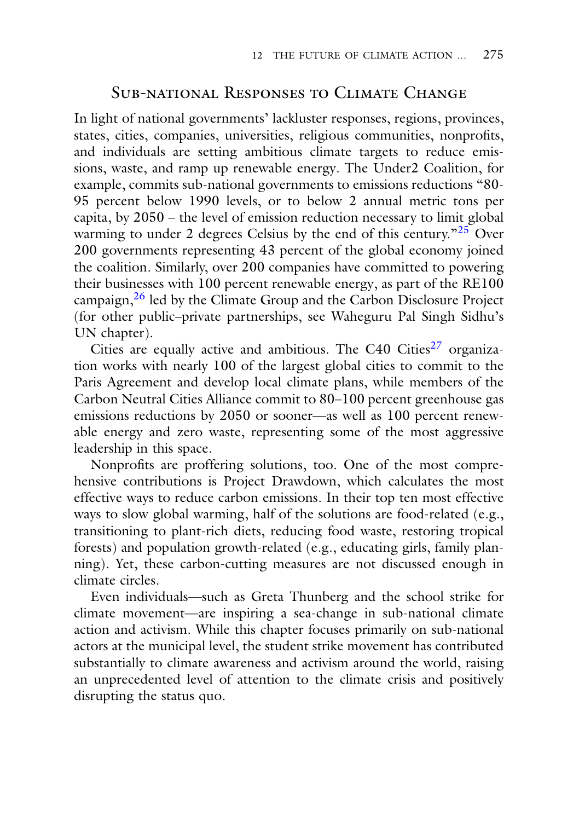## SUB-NATIONAL RESPONSES TO CLIMATE CHANGE

In light of national governments' lackluster responses, regions, provinces, states, cities, companies, universities, religious communities, nonprofits, and individuals are setting ambitious climate targets to reduce emissions, waste, and ramp up renewable energy. The Under2 Coalition, for example, commits sub-national governments to emissions reductions "80- 95 percent below 1990 levels, or to below 2 annual metric tons per capita, by 2050 – the level of emission reduction necessary to limit global warming to under 2 degrees Celsius by the end of this century.<sup> $n25$  $n25$ </sup> Over 200 governments representing 43 percent of the global economy joined the coalition. Similarly, over 200 companies have committed to powering their businesses with 100 percent renewable energy, as part of the RE100 campaign,<sup>26</sup> led by the Climate Group and the Carbon Disclosure Project (for other public–private partnerships, see Waheguru Pal Singh Sidhu's UN chapter).

Cities are equally active and ambitious. The C40 Cities<sup>[27](#page-19-0)</sup> organization works with nearly 100 of the largest global cities to commit to the Paris Agreement and develop local climate plans, while members of the Carbon Neutral Cities Alliance commit to 80–100 percent greenhouse gas emissions reductions by 2050 or sooner—as well as 100 percent renewable energy and zero waste, representing some of the most aggressive leadership in this space.

Nonprofits are proffering solutions, too. One of the most comprehensive contributions is Project Drawdown, which calculates the most effective ways to reduce carbon emissions. In their top ten most effective ways to slow global warming, half of the solutions are food-related (e.g., transitioning to plant-rich diets, reducing food waste, restoring tropical forests) and population growth-related (e.g., educating girls, family planning). Yet, these carbon-cutting measures are not discussed enough in climate circles.

Even individuals—such as Greta Thunberg and the school strike for climate movement—are inspiring a sea-change in sub-national climate action and activism. While this chapter focuses primarily on sub-national actors at the municipal level, the student strike movement has contributed substantially to climate awareness and activism around the world, raising an unprecedented level of attention to the climate crisis and positively disrupting the status quo.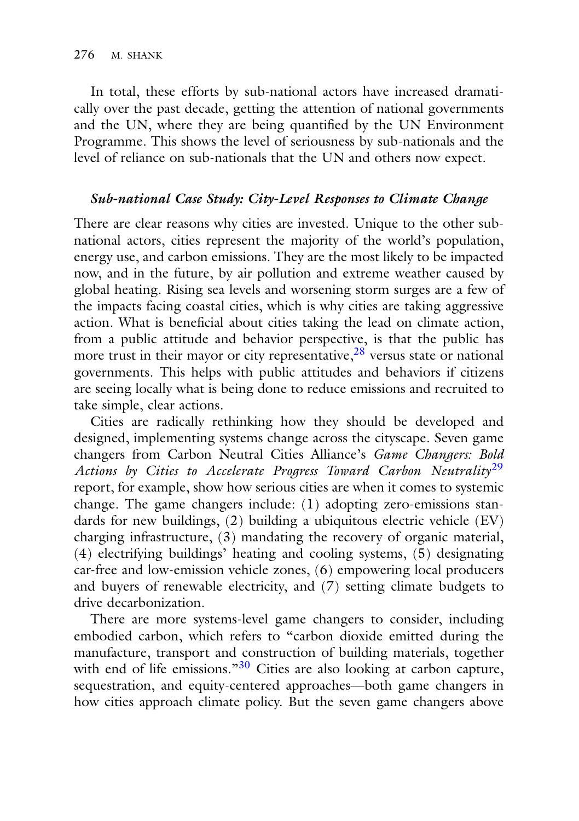In total, these efforts by sub-national actors have increased dramatically over the past decade, getting the attention of national governments and the UN, where they are being quantified by the UN Environment Programme. This shows the level of seriousness by sub-nationals and the level of reliance on sub-nationals that the UN and others now expect.

#### *Sub-national Case Study: City-Level Responses to Climate Change*

There are clear reasons why cities are invested. Unique to the other subnational actors, cities represent the majority of the world's population, energy use, and carbon emissions. They are the most likely to be impacted now, and in the future, by air pollution and extreme weather caused by global heating. Rising sea levels and worsening storm surges are a few of the impacts facing coastal cities, which is why cities are taking aggressive action. What is beneficial about cities taking the lead on climate action, from a public attitude and behavior perspective, is that the public has more trust in their mayor or city representative,  $\frac{28}{3}$  versus state or national governments. This helps with public attitudes and behaviors if citizens are seeing locally what is being done to reduce emissions and recruited to take simple, clear actions.

Cities are radically rethinking how they should be developed and designed, implementing systems change across the cityscape. Seven game changers from Carbon Neutral Cities Alliance's *Game Changers: Bold Actions by Cities to Accelerate Progress Toward Carbon Neutrality*[29](#page-19-0) report, for example, show how serious cities are when it comes to systemic change. The game changers include: (1) adopting zero-emissions standards for new buildings, (2) building a ubiquitous electric vehicle (EV) charging infrastructure, (3) mandating the recovery of organic material, (4) electrifying buildings' heating and cooling systems, (5) designating car-free and low-emission vehicle zones, (6) empowering local producers and buyers of renewable electricity, and (7) setting climate budgets to drive decarbonization.

There are more systems-level game changers to consider, including embodied carbon, which refers to "carbon dioxide emitted during the manufacture, transport and construction of building materials, together with end of life emissions."<sup>[30](#page-19-0)</sup> Cities are also looking at carbon capture, sequestration, and equity-centered approaches—both game changers in how cities approach climate policy. But the seven game changers above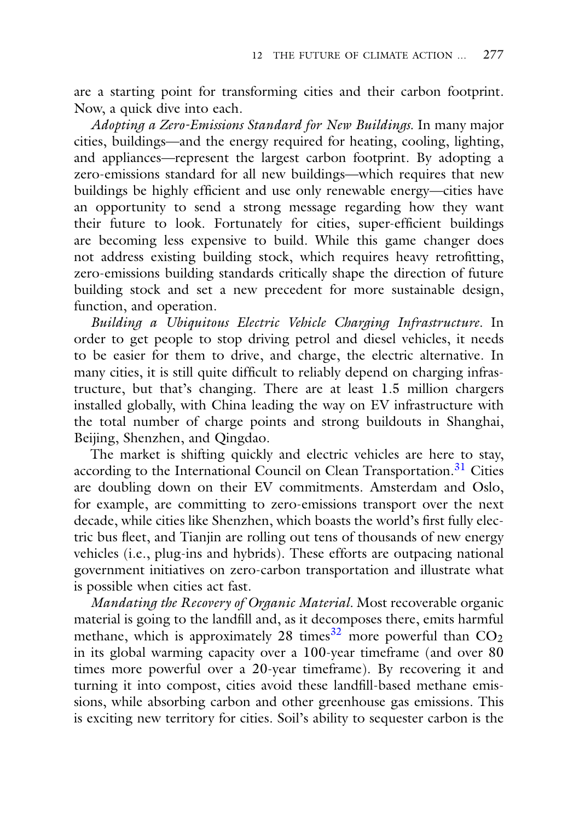are a starting point for transforming cities and their carbon footprint. Now, a quick dive into each.

*Adopting a Zero-Emissions Standard for New Buildings.* In many major cities, buildings—and the energy required for heating, cooling, lighting, and appliances—represent the largest carbon footprint. By adopting a zero-emissions standard for all new buildings—which requires that new buildings be highly efficient and use only renewable energy—cities have an opportunity to send a strong message regarding how they want their future to look. Fortunately for cities, super-efficient buildings are becoming less expensive to build. While this game changer does not address existing building stock, which requires heavy retrofitting, zero-emissions building standards critically shape the direction of future building stock and set a new precedent for more sustainable design, function, and operation.

*Building a Ubiquitous Electric Vehicle Charging Infrastructure.* In order to get people to stop driving petrol and diesel vehicles, it needs to be easier for them to drive, and charge, the electric alternative. In many cities, it is still quite difficult to reliably depend on charging infrastructure, but that's changing. There are at least 1.5 million chargers installed globally, with China leading the way on EV infrastructure with the total number of charge points and strong buildouts in Shanghai, Beijing, Shenzhen, and Qingdao.

The market is shifting quickly and electric vehicles are here to stay, according to the International Council on Clean Transportation.<sup>31</sup> Cities are doubling down on their EV commitments. Amsterdam and Oslo, for example, are committing to zero-emissions transport over the next decade, while cities like Shenzhen, which boasts the world's first fully electric bus fleet, and Tianjin are rolling out tens of thousands of new energy vehicles (i.e., plug-ins and hybrids). These efforts are outpacing national government initiatives on zero-carbon transportation and illustrate what is possible when cities act fast.

*Mandating the Recovery of Organic Material.* Most recoverable organic material is going to the landfill and, as it decomposes there, emits harmful methane, which is approximately  $28$  times<sup>[32](#page-19-0)</sup> more powerful than  $CO<sub>2</sub>$ in its global warming capacity over a 100-year timeframe (and over 80 times more powerful over a 20-year timeframe). By recovering it and turning it into compost, cities avoid these landfill-based methane emissions, while absorbing carbon and other greenhouse gas emissions. This is exciting new territory for cities. Soil's ability to sequester carbon is the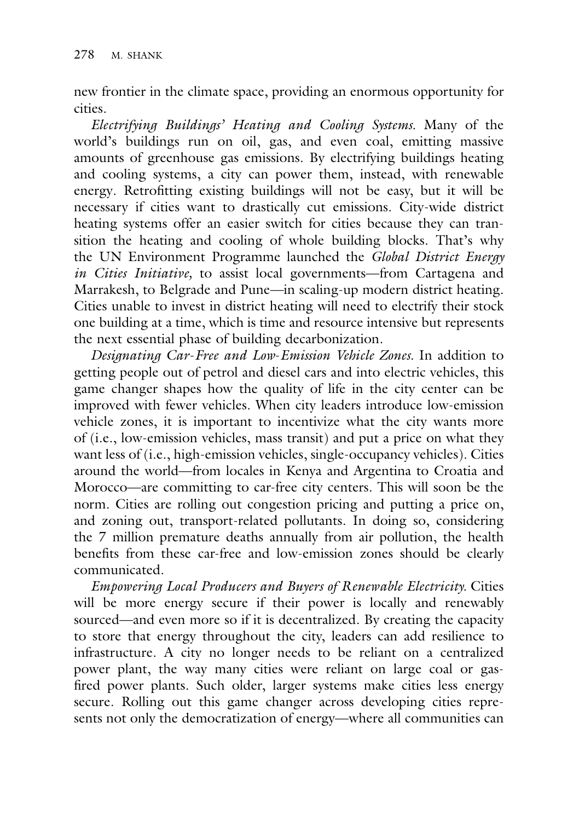new frontier in the climate space, providing an enormous opportunity for cities.

*Electrifying Buildings' Heating and Cooling Systems.* Many of the world's buildings run on oil, gas, and even coal, emitting massive amounts of greenhouse gas emissions. By electrifying buildings heating and cooling systems, a city can power them, instead, with renewable energy. Retrofitting existing buildings will not be easy, but it will be necessary if cities want to drastically cut emissions. City-wide district heating systems offer an easier switch for cities because they can transition the heating and cooling of whole building blocks. That's why the UN Environment Programme launched the *Global District Energy in Cities Initiative,* to assist local governments—from Cartagena and Marrakesh, to Belgrade and Pune—in scaling-up modern district heating. Cities unable to invest in district heating will need to electrify their stock one building at a time, which is time and resource intensive but represents the next essential phase of building decarbonization.

*Designating Car*-*Free and Low*-*Emission Vehicle Zones.* In addition to getting people out of petrol and diesel cars and into electric vehicles, this game changer shapes how the quality of life in the city center can be improved with fewer vehicles. When city leaders introduce low-emission vehicle zones, it is important to incentivize what the city wants more of (i.e., low-emission vehicles, mass transit) and put a price on what they want less of (i.e., high-emission vehicles, single-occupancy vehicles). Cities around the world—from locales in Kenya and Argentina to Croatia and Morocco—are committing to car-free city centers. This will soon be the norm. Cities are rolling out congestion pricing and putting a price on, and zoning out, transport-related pollutants. In doing so, considering the 7 million premature deaths annually from air pollution, the health benefits from these car-free and low-emission zones should be clearly communicated.

*Empowering Local Producers and Buyers of Renewable Electricity.* Cities will be more energy secure if their power is locally and renewably sourced—and even more so if it is decentralized. By creating the capacity to store that energy throughout the city, leaders can add resilience to infrastructure. A city no longer needs to be reliant on a centralized power plant, the way many cities were reliant on large coal or gasfired power plants. Such older, larger systems make cities less energy secure. Rolling out this game changer across developing cities represents not only the democratization of energy—where all communities can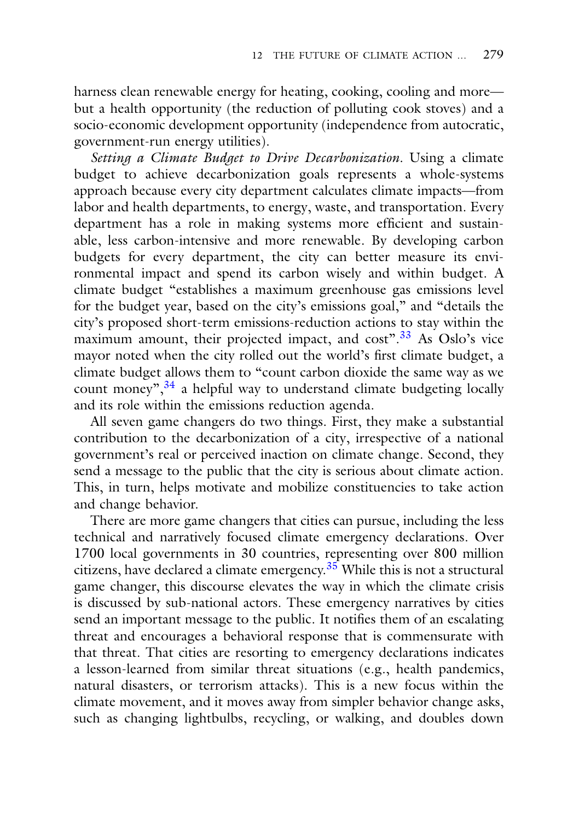harness clean renewable energy for heating, cooking, cooling and more but a health opportunity (the reduction of polluting cook stoves) and a socio-economic development opportunity (independence from autocratic, government-run energy utilities).

*Setting a Climate Budget to Drive Decarbonization.* Using a climate budget to achieve decarbonization goals represents a whole-systems approach because every city department calculates climate impacts—from labor and health departments, to energy, waste, and transportation. Every department has a role in making systems more efficient and sustainable, less carbon-intensive and more renewable. By developing carbon budgets for every department, the city can better measure its environmental impact and spend its carbon wisely and within budget. A climate budget "establishes a maximum greenhouse gas emissions level for the budget year, based on the city's emissions goal," and "details the city's proposed short-term emissions-reduction actions to stay within the maximum amount, their projected impact, and cost".<sup>[33](#page-19-0)</sup> As Oslo's vice mayor noted when the city rolled out the world's first climate budget, a climate budget allows them to "count carbon dioxide the same way as we count money",  $34$  a helpful way to understand climate budgeting locally and its role within the emissions reduction agenda.

All seven game changers do two things. First, they make a substantial contribution to the decarbonization of a city, irrespective of a national government's real or perceived inaction on climate change. Second, they send a message to the public that the city is serious about climate action. This, in turn, helps motivate and mobilize constituencies to take action and change behavior.

There are more game changers that cities can pursue, including the less technical and narratively focused climate emergency declarations. Over 1700 local governments in 30 countries, representing over 800 million citizens, have declared a climate emergency.<sup>35</sup> While this is not a structural game changer, this discourse elevates the way in which the climate crisis is discussed by sub-national actors. These emergency narratives by cities send an important message to the public. It notifies them of an escalating threat and encourages a behavioral response that is commensurate with that threat. That cities are resorting to emergency declarations indicates a lesson-learned from similar threat situations (e.g., health pandemics, natural disasters, or terrorism attacks). This is a new focus within the climate movement, and it moves away from simpler behavior change asks, such as changing lightbulbs, recycling, or walking, and doubles down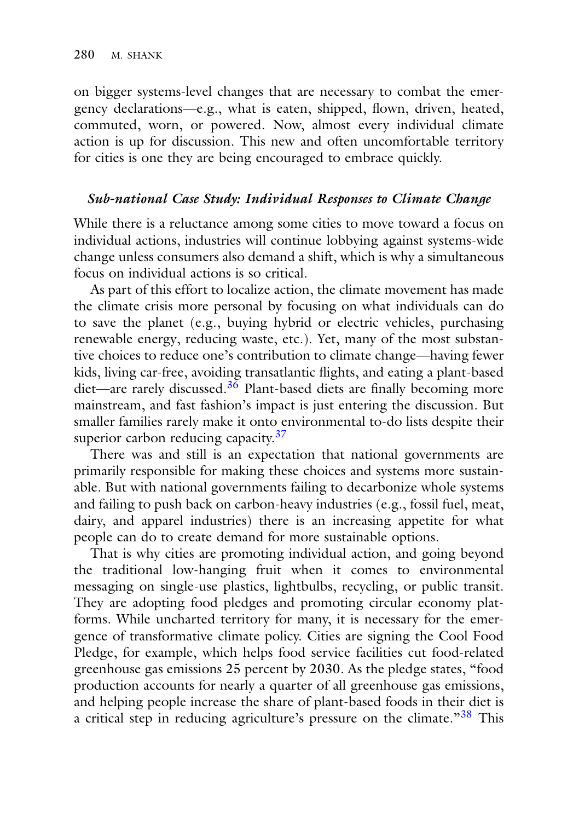on bigger systems-level changes that are necessary to combat the emergency declarations—e.g., what is eaten, shipped, flown, driven, heated, commuted, worn, or powered. Now, almost every individual climate action is up for discussion. This new and often uncomfortable territory for cities is one they are being encouraged to embrace quickly.

#### *Sub-national Case Study: Individual Responses to Climate Change*

While there is a reluctance among some cities to move toward a focus on individual actions, industries will continue lobbying against systems-wide change unless consumers also demand a shift, which is why a simultaneous focus on individual actions is so critical.

As part of this effort to localize action, the climate movement has made the climate crisis more personal by focusing on what individuals can do to save the planet (e.g., buying hybrid or electric vehicles, purchasing renewable energy, reducing waste, etc.). Yet, many of the most substantive choices to reduce one's contribution to climate change—having fewer kids, living car-free, avoiding transatlantic flights, and eating a plant-based diet—are rarely discussed. $3\overline{6}$  Plant-based diets are finally becoming more mainstream, and fast fashion's impact is just entering the discussion. But smaller families rarely make it onto environmental to-do lists despite their superior carbon reducing capacity.<sup>37</sup>

There was and still is an expectation that national governments are primarily responsible for making these choices and systems more sustainable. But with national governments failing to decarbonize whole systems and failing to push back on carbon-heavy industries (e.g., fossil fuel, meat, dairy, and apparel industries) there is an increasing appetite for what people can do to create demand for more sustainable options.

That is why cities are promoting individual action, and going beyond the traditional low-hanging fruit when it comes to environmental messaging on single-use plastics, lightbulbs, recycling, or public transit. They are adopting food pledges and promoting circular economy platforms. While uncharted territory for many, it is necessary for the emergence of transformative climate policy. Cities are signing the Cool Food Pledge, for example, which helps food service facilities cut food-related greenhouse gas emissions 25 percent by 2030. As the pledge states, "food production accounts for nearly a quarter of all greenhouse gas emissions, and helping people increase the share of plant-based foods in their diet is a critical step in reducing agriculture's pressure on the climate."<sup>38</sup> This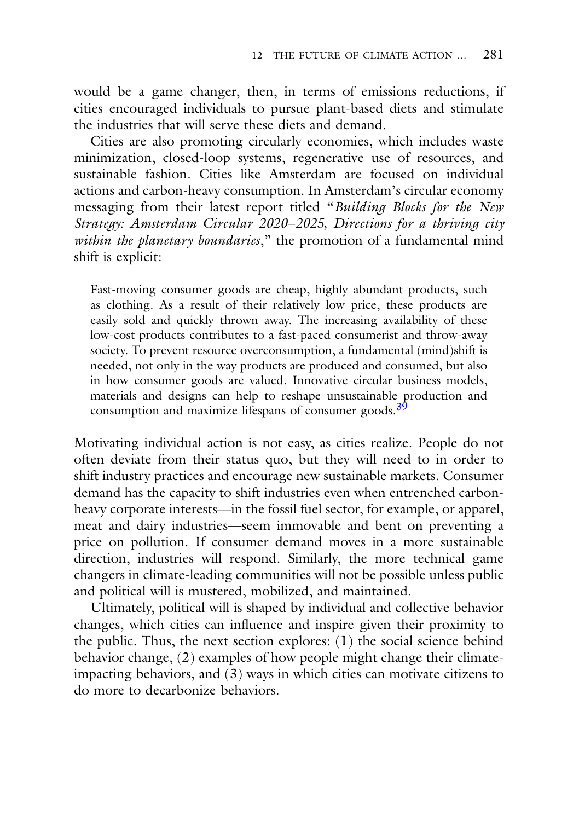would be a game changer, then, in terms of emissions reductions, if cities encouraged individuals to pursue plant-based diets and stimulate the industries that will serve these diets and demand.

Cities are also promoting circularly economies, which includes waste minimization, closed-loop systems, regenerative use of resources, and sustainable fashion. Cities like Amsterdam are focused on individual actions and carbon-heavy consumption. In Amsterdam's circular economy messaging from their latest report titled "*Building Blocks for the New Strategy: Amsterdam Circular 2020*–*2025, Directions for a thriving city within the planetary boundaries*," the promotion of a fundamental mind shift is explicit:

Fast-moving consumer goods are cheap, highly abundant products, such as clothing. As a result of their relatively low price, these products are easily sold and quickly thrown away. The increasing availability of these low-cost products contributes to a fast-paced consumerist and throw-away society. To prevent resource overconsumption, a fundamental (mind)shift is needed, not only in the way products are produced and consumed, but also in how consumer goods are valued. Innovative circular business models, materials and designs can help to reshape unsustainable production and consumption and maximize lifespans of consumer goods.<sup>[39](#page-19-0)</sup>

Motivating individual action is not easy, as cities realize. People do not often deviate from their status quo, but they will need to in order to shift industry practices and encourage new sustainable markets. Consumer demand has the capacity to shift industries even when entrenched carbonheavy corporate interests—in the fossil fuel sector, for example, or apparel, meat and dairy industries—seem immovable and bent on preventing a price on pollution. If consumer demand moves in a more sustainable direction, industries will respond. Similarly, the more technical game changers in climate-leading communities will not be possible unless public and political will is mustered, mobilized, and maintained.

Ultimately, political will is shaped by individual and collective behavior changes, which cities can influence and inspire given their proximity to the public. Thus, the next section explores:  $(1)$  the social science behind behavior change, (2) examples of how people might change their climateimpacting behaviors, and (3) ways in which cities can motivate citizens to do more to decarbonize behaviors.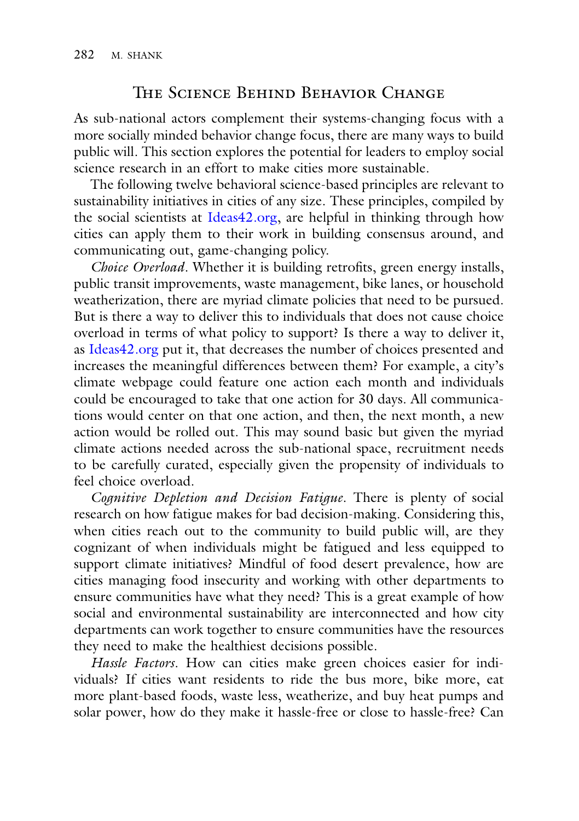# THE SCIENCE BEHIND BEHAVIOR CHANGE

As sub-national actors complement their systems-changing focus with a more socially minded behavior change focus, there are many ways to build public will. This section explores the potential for leaders to employ social science research in an effort to make cities more sustainable.

The following twelve behavioral science-based principles are relevant to sustainability initiatives in cities of any size. These principles, compiled by the social scientists at [Ideas42.org,](http://Ideas42.org) are helpful in thinking through how cities can apply them to their work in building consensus around, and communicating out, game-changing policy.

*Choice Overload*. Whether it is building retrofits, green energy installs, public transit improvements, waste management, bike lanes, or household weatherization, there are myriad climate policies that need to be pursued. But is there a way to deliver this to individuals that does not cause choice overload in terms of what policy to support? Is there a way to deliver it, as [Ideas42.org](http://Ideas42.org) put it, that decreases the number of choices presented and increases the meaningful differences between them? For example, a city's climate webpage could feature one action each month and individuals could be encouraged to take that one action for 30 days. All communications would center on that one action, and then, the next month, a new action would be rolled out. This may sound basic but given the myriad climate actions needed across the sub-national space, recruitment needs to be carefully curated, especially given the propensity of individuals to feel choice overload.

*Cognitive Depletion and Decision Fatigue*. There is plenty of social research on how fatigue makes for bad decision-making. Considering this, when cities reach out to the community to build public will, are they cognizant of when individuals might be fatigued and less equipped to support climate initiatives? Mindful of food desert prevalence, how are cities managing food insecurity and working with other departments to ensure communities have what they need? This is a great example of how social and environmental sustainability are interconnected and how city departments can work together to ensure communities have the resources they need to make the healthiest decisions possible.

*Hassle Factors*. How can cities make green choices easier for individuals? If cities want residents to ride the bus more, bike more, eat more plant-based foods, waste less, weatherize, and buy heat pumps and solar power, how do they make it hassle-free or close to hassle-free? Can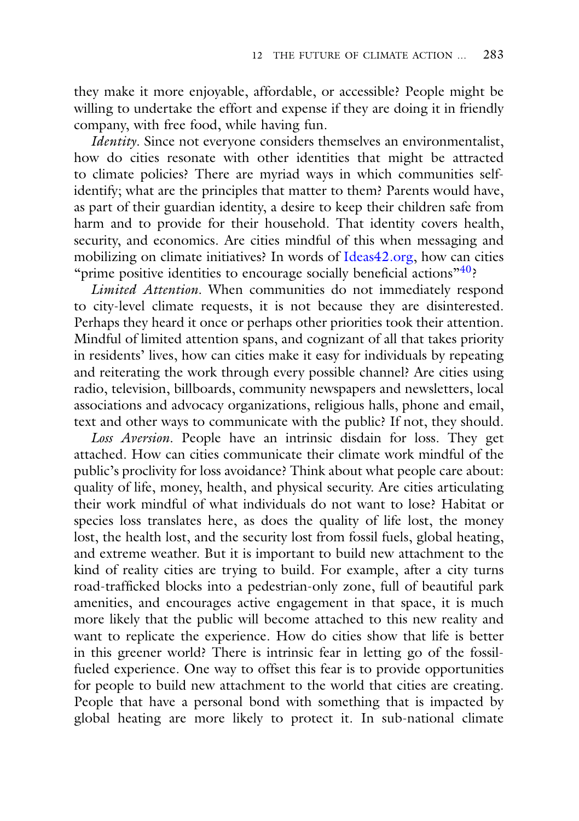they make it more enjoyable, affordable, or accessible? People might be willing to undertake the effort and expense if they are doing it in friendly company, with free food, while having fun.

*Identity*. Since not everyone considers themselves an environmentalist, how do cities resonate with other identities that might be attracted to climate policies? There are myriad ways in which communities selfidentify; what are the principles that matter to them? Parents would have, as part of their guardian identity, a desire to keep their children safe from harm and to provide for their household. That identity covers health, security, and economics. Are cities mindful of this when messaging and mobilizing on climate initiatives? In words of [Ideas42.org,](http://Ideas42.org) how can cities "prime positive identities to encourage socially beneficial actions" $\binom{40}{2}$ ?

*Limited Attention*. When communities do not immediately respond to city-level climate requests, it is not because they are disinterested. Perhaps they heard it once or perhaps other priorities took their attention. Mindful of limited attention spans, and cognizant of all that takes priority in residents' lives, how can cities make it easy for individuals by repeating and reiterating the work through every possible channel? Are cities using radio, television, billboards, community newspapers and newsletters, local associations and advocacy organizations, religious halls, phone and email, text and other ways to communicate with the public? If not, they should.

*Loss Aversion*. People have an intrinsic disdain for loss. They get attached. How can cities communicate their climate work mindful of the public's proclivity for loss avoidance? Think about what people care about: quality of life, money, health, and physical security. Are cities articulating their work mindful of what individuals do not want to lose? Habitat or species loss translates here, as does the quality of life lost, the money lost, the health lost, and the security lost from fossil fuels, global heating, and extreme weather. But it is important to build new attachment to the kind of reality cities are trying to build. For example, after a city turns road-trafficked blocks into a pedestrian-only zone, full of beautiful park amenities, and encourages active engagement in that space, it is much more likely that the public will become attached to this new reality and want to replicate the experience. How do cities show that life is better in this greener world? There is intrinsic fear in letting go of the fossilfueled experience. One way to offset this fear is to provide opportunities for people to build new attachment to the world that cities are creating. People that have a personal bond with something that is impacted by global heating are more likely to protect it. In sub-national climate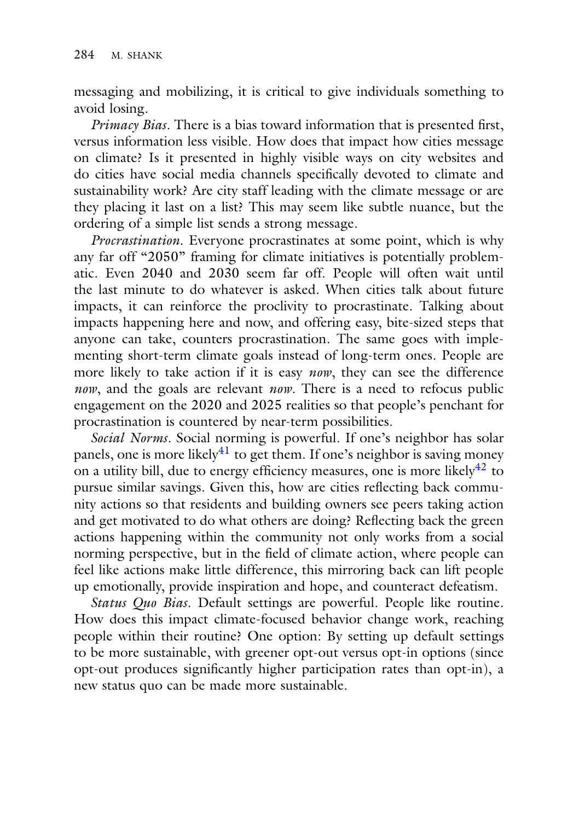messaging and mobilizing, it is critical to give individuals something to avoid losing.

*Primacy Bias*. There is a bias toward information that is presented first, versus information less visible. How does that impact how cities message on climate? Is it presented in highly visible ways on city websites and do cities have social media channels specifically devoted to climate and sustainability work? Are city staff leading with the climate message or are they placing it last on a list? This may seem like subtle nuance, but the ordering of a simple list sends a strong message.

*Procrastination*. Everyone procrastinates at some point, which is why any far off "2050" framing for climate initiatives is potentially problematic. Even 2040 and 2030 seem far off. People will often wait until the last minute to do whatever is asked. When cities talk about future impacts, it can reinforce the proclivity to procrastinate. Talking about impacts happening here and now, and offering easy, bite-sized steps that anyone can take, counters procrastination. The same goes with implementing short-term climate goals instead of long-term ones. People are more likely to take action if it is easy *now*, they can see the difference *now*, and the goals are relevant *now*. There is a need to refocus public engagement on the 2020 and 2025 realities so that people's penchant for procrastination is countered by near-term possibilities.

*Social Norms*. Social norming is powerful. If one's neighbor has solar panels, one is more likely<sup>41</sup> to get them. If one's neighbor is saving money on a utility bill, due to energy efficiency measures, one is more likely $^{42}$  to pursue similar savings. Given this, how are cities reflecting back community actions so that residents and building owners see peers taking action and get motivated to do what others are doing? Reflecting back the green actions happening within the community not only works from a social norming perspective, but in the field of climate action, where people can feel like actions make little difference, this mirroring back can lift people up emotionally, provide inspiration and hope, and counteract defeatism.

*Status Quo Bias*. Default settings are powerful. People like routine. How does this impact climate-focused behavior change work, reaching people within their routine? One option: By setting up default settings to be more sustainable, with greener opt-out versus opt-in options (since opt-out produces significantly higher participation rates than opt-in), a new status quo can be made more sustainable.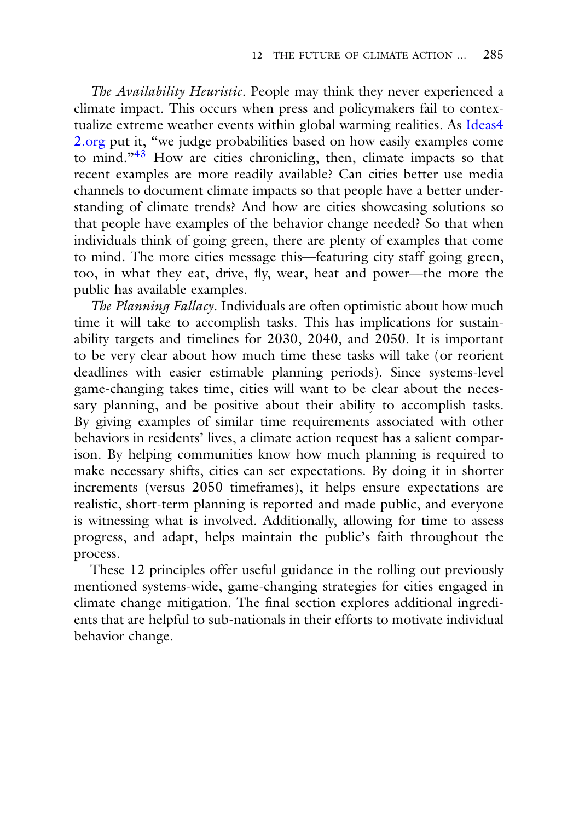*The Availability Heuristic*. People may think they never experienced a climate impact. This occurs when press and policymakers fail to contextualize extreme weather events within global warming realities. As Ideas4 2.org [put it, "we judge probabilities based on how easily examples come](http://Ideas42.org) to mind."<sup>[43](#page-19-0)</sup> How are cities chronicling, then, climate impacts so that recent examples are more readily available? Can cities better use media channels to document climate impacts so that people have a better understanding of climate trends? And how are cities showcasing solutions so that people have examples of the behavior change needed? So that when individuals think of going green, there are plenty of examples that come to mind. The more cities message this—featuring city staff going green, too, in what they eat, drive, fly, wear, heat and power—the more the public has available examples.

*The Planning Fallacy*. Individuals are often optimistic about how much time it will take to accomplish tasks. This has implications for sustainability targets and timelines for 2030, 2040, and 2050. It is important to be very clear about how much time these tasks will take (or reorient deadlines with easier estimable planning periods). Since systems-level game-changing takes time, cities will want to be clear about the necessary planning, and be positive about their ability to accomplish tasks. By giving examples of similar time requirements associated with other behaviors in residents' lives, a climate action request has a salient comparison. By helping communities know how much planning is required to make necessary shifts, cities can set expectations. By doing it in shorter increments (versus 2050 timeframes), it helps ensure expectations are realistic, short-term planning is reported and made public, and everyone is witnessing what is involved. Additionally, allowing for time to assess progress, and adapt, helps maintain the public's faith throughout the process.

These 12 principles offer useful guidance in the rolling out previously mentioned systems-wide, game-changing strategies for cities engaged in climate change mitigation. The final section explores additional ingredients that are helpful to sub-nationals in their efforts to motivate individual behavior change.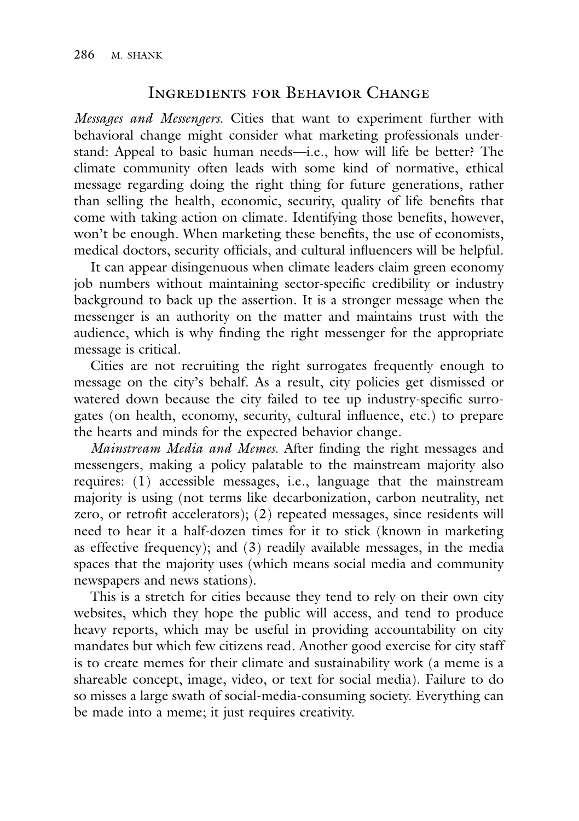# INGREDIENTS FOR BEHAVIOR CHANGE

*Messages and Messengers.* Cities that want to experiment further with behavioral change might consider what marketing professionals understand: Appeal to basic human needs—i.e., how will life be better? The climate community often leads with some kind of normative, ethical message regarding doing the right thing for future generations, rather than selling the health, economic, security, quality of life benefits that come with taking action on climate. Identifying those benefits, however, won't be enough. When marketing these benefits, the use of economists, medical doctors, security officials, and cultural influencers will be helpful.

It can appear disingenuous when climate leaders claim green economy job numbers without maintaining sector-specific credibility or industry background to back up the assertion. It is a stronger message when the messenger is an authority on the matter and maintains trust with the audience, which is why finding the right messenger for the appropriate message is critical.

Cities are not recruiting the right surrogates frequently enough to message on the city's behalf. As a result, city policies get dismissed or watered down because the city failed to tee up industry-specific surrogates (on health, economy, security, cultural influence, etc.) to prepare the hearts and minds for the expected behavior change.

*Mainstream Media and Memes.* After finding the right messages and messengers, making a policy palatable to the mainstream majority also requires: (1) accessible messages, i.e., language that the mainstream majority is using (not terms like decarbonization, carbon neutrality, net zero, or retrofit accelerators); (2) repeated messages, since residents will need to hear it a half-dozen times for it to stick (known in marketing as effective frequency); and (3) readily available messages, in the media spaces that the majority uses (which means social media and community newspapers and news stations).

This is a stretch for cities because they tend to rely on their own city websites, which they hope the public will access, and tend to produce heavy reports, which may be useful in providing accountability on city mandates but which few citizens read. Another good exercise for city staff is to create memes for their climate and sustainability work (a meme is a shareable concept, image, video, or text for social media). Failure to do so misses a large swath of social-media-consuming society. Everything can be made into a meme; it just requires creativity.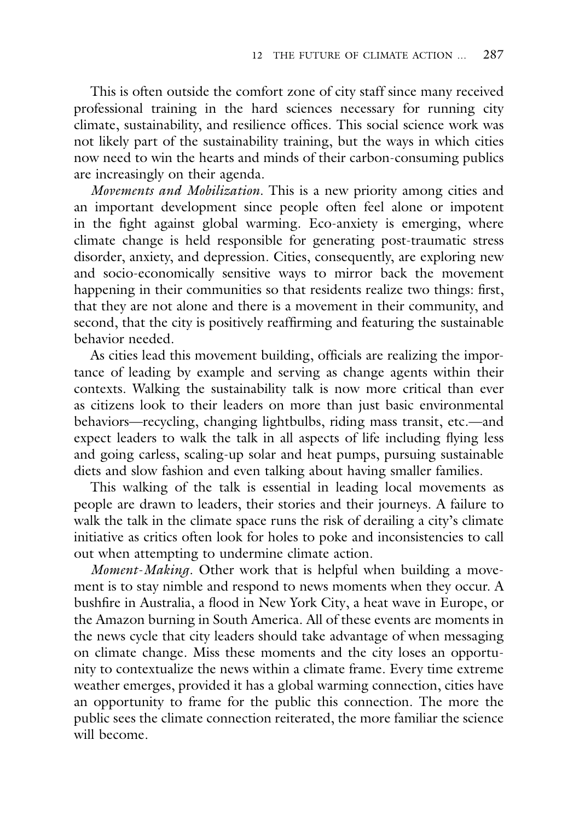This is often outside the comfort zone of city staff since many received professional training in the hard sciences necessary for running city climate, sustainability, and resilience offices. This social science work was not likely part of the sustainability training, but the ways in which cities now need to win the hearts and minds of their carbon-consuming publics are increasingly on their agenda.

*Movements and Mobilization.* This is a new priority among cities and an important development since people often feel alone or impotent in the fight against global warming. Eco-anxiety is emerging, where climate change is held responsible for generating post-traumatic stress disorder, anxiety, and depression. Cities, consequently, are exploring new and socio-economically sensitive ways to mirror back the movement happening in their communities so that residents realize two things: first, that they are not alone and there is a movement in their community, and second, that the city is positively reaffirming and featuring the sustainable behavior needed.

As cities lead this movement building, officials are realizing the importance of leading by example and serving as change agents within their contexts. Walking the sustainability talk is now more critical than ever as citizens look to their leaders on more than just basic environmental behaviors—recycling, changing lightbulbs, riding mass transit, etc.—and expect leaders to walk the talk in all aspects of life including flying less and going carless, scaling-up solar and heat pumps, pursuing sustainable diets and slow fashion and even talking about having smaller families.

This walking of the talk is essential in leading local movements as people are drawn to leaders, their stories and their journeys. A failure to walk the talk in the climate space runs the risk of derailing a city's climate initiative as critics often look for holes to poke and inconsistencies to call out when attempting to undermine climate action.

*Moment*-*Making*. Other work that is helpful when building a movement is to stay nimble and respond to news moments when they occur. A bushfire in Australia, a flood in New York City, a heat wave in Europe, or the Amazon burning in South America. All of these events are moments in the news cycle that city leaders should take advantage of when messaging on climate change. Miss these moments and the city loses an opportunity to contextualize the news within a climate frame. Every time extreme weather emerges, provided it has a global warming connection, cities have an opportunity to frame for the public this connection. The more the public sees the climate connection reiterated, the more familiar the science will become.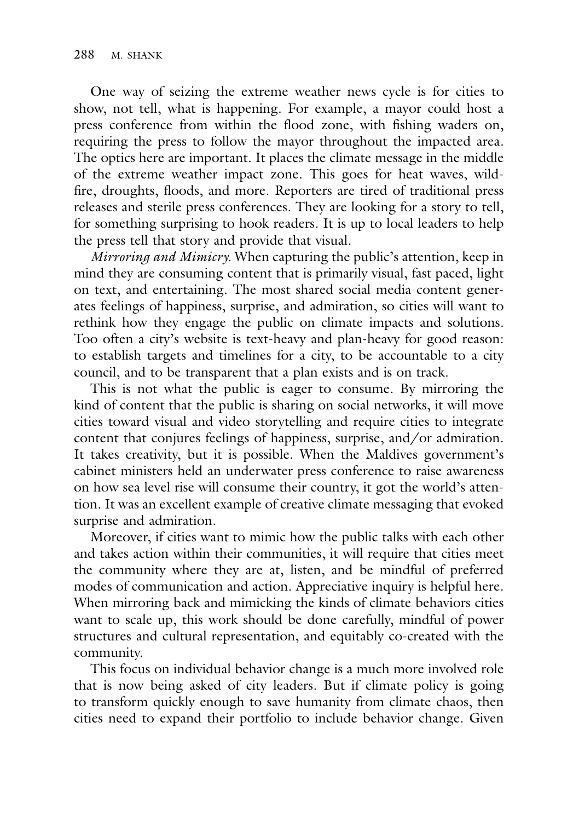One way of seizing the extreme weather news cycle is for cities to show, not tell, what is happening. For example, a mayor could host a press conference from within the flood zone, with fishing waders on, requiring the press to follow the mayor throughout the impacted area. The optics here are important. It places the climate message in the middle of the extreme weather impact zone. This goes for heat waves, wildfire, droughts, floods, and more. Reporters are tired of traditional press releases and sterile press conferences. They are looking for a story to tell, for something surprising to hook readers. It is up to local leaders to help the press tell that story and provide that visual.

*Mirroring and Mimicry.* When capturing the public's attention, keep in mind they are consuming content that is primarily visual, fast paced, light on text, and entertaining. The most shared social media content generates feelings of happiness, surprise, and admiration, so cities will want to rethink how they engage the public on climate impacts and solutions. Too often a city's website is text-heavy and plan-heavy for good reason: to establish targets and timelines for a city, to be accountable to a city council, and to be transparent that a plan exists and is on track.

This is not what the public is eager to consume. By mirroring the kind of content that the public is sharing on social networks, it will move cities toward visual and video storytelling and require cities to integrate content that conjures feelings of happiness, surprise, and/or admiration. It takes creativity, but it is possible. When the Maldives government's cabinet ministers held an underwater press conference to raise awareness on how sea level rise will consume their country, it got the world's attention. It was an excellent example of creative climate messaging that evoked surprise and admiration.

Moreover, if cities want to mimic how the public talks with each other and takes action within their communities, it will require that cities meet the community where they are at, listen, and be mindful of preferred modes of communication and action. Appreciative inquiry is helpful here. When mirroring back and mimicking the kinds of climate behaviors cities want to scale up, this work should be done carefully, mindful of power structures and cultural representation, and equitably co-created with the community.

This focus on individual behavior change is a much more involved role that is now being asked of city leaders. But if climate policy is going to transform quickly enough to save humanity from climate chaos, then cities need to expand their portfolio to include behavior change. Given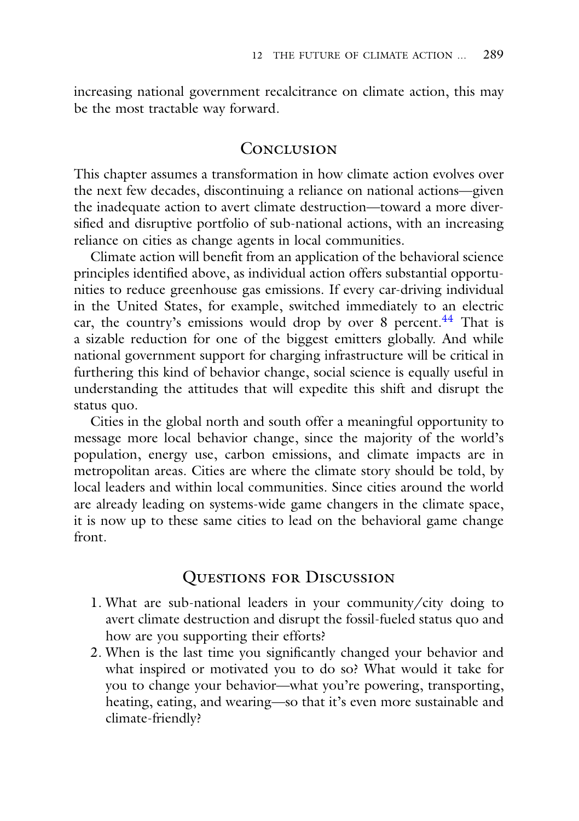increasing national government recalcitrance on climate action, this may be the most tractable way forward.

## **CONCLUSION**

This chapter assumes a transformation in how climate action evolves over the next few decades, discontinuing a reliance on national actions—given the inadequate action to avert climate destruction—toward a more diversified and disruptive portfolio of sub-national actions, with an increasing reliance on cities as change agents in local communities.

Climate action will benefit from an application of the behavioral science principles identified above, as individual action offers substantial opportunities to reduce greenhouse gas emissions. If every car-driving individual in the United States, for example, switched immediately to an electric car, the country's emissions would drop by over 8 percent. $44$  That is a sizable reduction for one of the biggest emitters globally. And while national government support for charging infrastructure will be critical in furthering this kind of behavior change, social science is equally useful in understanding the attitudes that will expedite this shift and disrupt the status quo.

Cities in the global north and south offer a meaningful opportunity to message more local behavior change, since the majority of the world's population, energy use, carbon emissions, and climate impacts are in metropolitan areas. Cities are where the climate story should be told, by local leaders and within local communities. Since cities around the world are already leading on systems-wide game changers in the climate space, it is now up to these same cities to lead on the behavioral game change front.

# Questions for Discussion

- 1. What are sub-national leaders in your community/city doing to avert climate destruction and disrupt the fossil-fueled status quo and how are you supporting their efforts?
- 2. When is the last time you significantly changed your behavior and what inspired or motivated you to do so? What would it take for you to change your behavior—what you're powering, transporting, heating, eating, and wearing—so that it's even more sustainable and climate-friendly?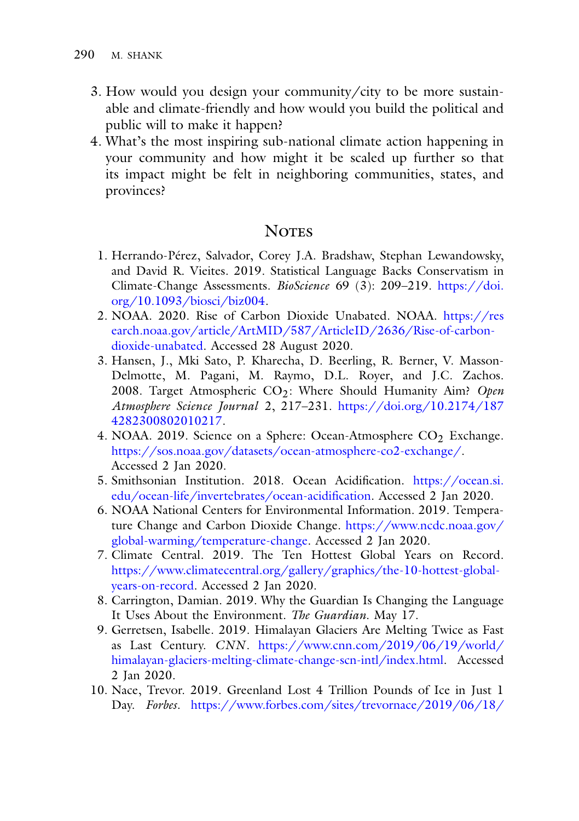- 3. How would you design your community/city to be more sustainable and climate-friendly and how would you build the political and public will to make it happen?
- 4. What's the most inspiring sub-national climate action happening in your community and how might it be scaled up further so that its impact might be felt in neighboring communities, states, and provinces?

# **NOTES**

- <span id="page-19-0"></span>1. Herrando-Pérez, Salvador, Corey J.A. Bradshaw, Stephan Lewandowsky, and David R. Vieites. 2019. Statistical Language Backs Conservatism in [Climate-Change Assessments.](https://doi.org/10.1093/biosci/biz004) *BioScience* 69 (3): 209–219. https://doi. org/10.1093/biosci/biz004.
- 2. NOAA. 2020. Rise of Carbon Dioxide Unabated. NOAA. https://res [earch.noaa.gov/article/ArtMID/587/ArticleID/2636/Rise-of-carbon](https://www.research.noaa.gov/article/ArtMID/587/ArticleID/2636/Rise-of-carbon-dioxide-unabated)dioxide-unabated. Accessed 28 August 2020.
- 3. Hansen, J., Mki Sato, P. Kharecha, D. Beerling, R. Berner, V. Masson-Delmotte, M. Pagani, M. Raymo, D.L. Royer, and J.C. Zachos. 2008. Target Atmospheric CO<sub>2</sub>: Where Should Humanity Aim? Open *Atmosphere Science Journal* 2, 217–231. [https://doi.org/10.2174/187](https://doi.org/10.2174/1874282300802010217) 4282300802010217.
- 4. NOAA. 2019. Science on a Sphere: Ocean-Atmosphere  $CO<sub>2</sub>$  Exchange. [https://sos.noaa.gov/datasets/ocean-atmosphere-co2-exchange/.](https://sos.noaa.gov/datasets/ocean-atmosphere-co2-exchange/) Accessed 2 Jan 2020.
- 5. Smithsonian Institution. 2018. Ocean Acidification. https://ocean.si. [edu/ocean-life/invertebrates/ocean-acidification. Accessed 2 Jan 2020.](https://ocean.si.edu/ocean-life/invertebrates/ocean-acidification)
- 6. NOAA National Centers for Environmental Information. 2019. Temperature Change and Carbon Dioxide Change. https://www.ncdc.noaa.gov/ [global-warming/temperature-change. Accessed 2 Jan 2020.](https://www.ncdc.noaa.gov/global-warming/temperature-change)
- 7. Climate Central. 2019. The Ten Hottest Global Years on Record. [https://www.climatecentral.org/gallery/graphics/the-10-hottest-global](https://www.climatecentral.org/gallery/graphics/the-10-hottest-global-years-on-record)years-on-record. Accessed 2 Jan 2020.
- 8. Carrington, Damian. 2019. Why the Guardian Is Changing the Language It Uses About the Environment. *The Guardian*. May 17.
- 9. Gerretsen, Isabelle. 2019. Himalayan Glaciers Are Melting Twice as Fast as Last Century. *CNN*. https://www.cnn.com/2019/06/19/world/ [himalayan-glaciers-melting-climate-change-scn-intl/index.html. Accessed](https://www.cnn.com/2019/06/19/world/himalayan-glaciers-melting-climate-change-scn-intl/index.html) 2 Jan 2020.
- 10. Nace, Trevor. 2019. Greenland Lost 4 Trillion Pounds of Ice in Just 1 Day. *Forbes*. [https://www.forbes.com/sites/trevornace/2019/06/18/](https://www.forbes.com/sites/trevornace/2019/06/18/greenland-lost-4-trillion-pounds-of-ice-in-just-1-day/#37294650f9a5)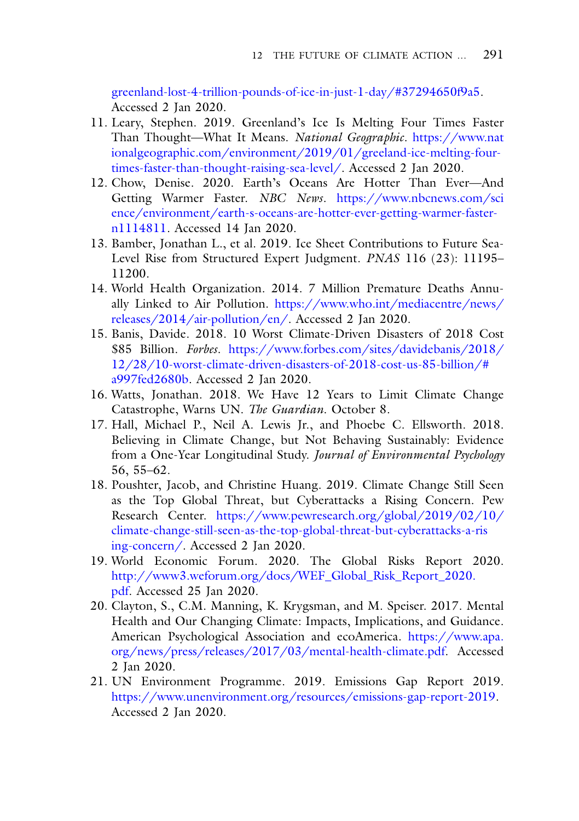[greenland-lost-4-trillion-pounds-of-ice-in-just-1-day/#37294650f9a5.](https://www.forbes.com/sites/trevornace/2019/06/18/greenland-lost-4-trillion-pounds-of-ice-in-just-1-day/#37294650f9a5) Accessed 2 Jan 2020.

- 11. Leary, Stephen. 2019. Greenland's Ice Is Melting Four Times Faster Than Thought—What It Means. *National Geographic*. https://www.nat [ionalgeographic.com/environment/2019/01/greeland-ice-melting-four](https://www.nationalgeographic.com/environment/2019/01/greeland-ice-melting-four-times-faster-than-thought-raising-sea-level/)times-faster-than-thought-raising-sea-level/. Accessed 2 Jan 2020.
- 12. Chow, Denise. 2020. Earth's Oceans Are Hotter Than Ever—And Getting Warmer Faster. *NBC News*. https://www.nbcnews.com/sci [ence/environment/earth-s-oceans-are-hotter-ever-getting-warmer-faster](https://www.nbcnews.com/science/environment/earth-s-oceans-are-hotter-ever-getting-warmer-faster-n1114811)n1114811. Accessed 14 Jan 2020.
- 13. Bamber, Jonathan L., et al. 2019. Ice Sheet Contributions to Future Sea-Level Rise from Structured Expert Judgment. *PNAS* 116 (23): 11195– 11200.
- 14. World Health Organization. 2014. 7 Million Premature Deaths Annually Linked to Air Pollution. https://www.who.int/mediacentre/news/ [releases/2014/air-pollution/en/. Accessed 2 Jan 2020.](https://www.who.int/mediacentre/news/releases/2014/air-pollution/en/)
- 15. Banis, Davide. 2018. 10 Worst Climate-Driven Disasters of 2018 Cost \$85 Billion. *Forbes*. https://www.forbes.com/sites/davidebanis/2018/ [12/28/10-worst-climate-driven-disasters-of-2018-cost-us-85-billion/#](https://www.forbes.com/sites/davidebanis/2018/12/28/10-worst-climate-driven-disasters-of-2018-cost-us-85-billion/#a997fed2680b) a997fed2680b. Accessed 2 Jan 2020.
- 16. Watts, Jonathan. 2018. We Have 12 Years to Limit Climate Change Catastrophe, Warns UN. *The Guardian*. October 8.
- 17. Hall, Michael P., Neil A. Lewis Jr., and Phoebe C. Ellsworth. 2018. Believing in Climate Change, but Not Behaving Sustainably: Evidence from a One-Year Longitudinal Study. *Journal of Environmental Psychology* 56, 55–62.
- 18. Poushter, Jacob, and Christine Huang. 2019. Climate Change Still Seen as the Top Global Threat, but Cyberattacks a Rising Concern. Pew Research Center. https://www.pewresearch.org/global/2019/02/10/ [climate-change-still-seen-as-the-top-global-threat-but-cyberattacks-a-ris](https://www.pewresearch.org/global/2019/02/10/climate-change-still-seen-as-the-top-global-threat-but-cyberattacks-a-rising-concern/) ing-concern/. Accessed 2 Jan 2020.
- 19. World Economic Forum. 2020. The Global Risks Report 2020. [http://www3.weforum.org/docs/WEF\\_Global\\_Risk\\_Report\\_2020.](http://www3.weforum.org/docs/WEF_Global_Risk_Report_2020.pdf) pdf. Accessed 25 Jan 2020.
- 20. Clayton, S., C.M. Manning, K. Krygsman, and M. Speiser. 2017. Mental Health and Our Changing Climate: Impacts, Implications, and Guidance. American Psychological Association and ecoAmerica. https://www.apa. [org/news/press/releases/2017/03/mental-health-climate.pdf. Accessed](https://www.apa.org/news/press/releases/2017/03/mental-health-climate.pdf) 2 Jan 2020.
- 21. UN Environment Programme. 2019. Emissions Gap Report 2019. [https://www.unenvironment.org/resources/emissions-gap-report-2019.](https://www.unenvironment.org/resources/emissions-gap-report-2019) Accessed 2 Jan 2020.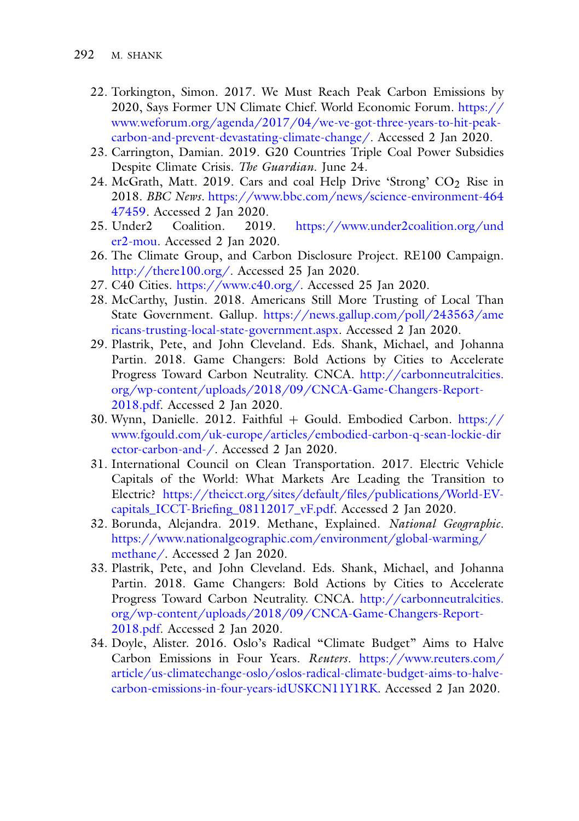- 22. Torkington, Simon. 2017. We Must Reach Peak Carbon Emissions by 2020, Says Former UN Climate Chief. World Economic Forum. https:// [www.weforum.org/agenda/2017/04/we-ve-got-three-years-to-hit-peak](https://www.weforum.org/agenda/2017/04/we-ve-got-three-years-to-hit-peak-carbon-and-prevent-devastating-climate-change/)carbon-and-prevent-devastating-climate-change/. Accessed 2 Jan 2020.
- 23. Carrington, Damian. 2019. G20 Countries Triple Coal Power Subsidies Despite Climate Crisis. *The Guardian*. June 24.
- 24. McGrath, Matt. 2019. Cars and coal Help Drive 'Strong'  $CO<sub>2</sub>$  Rise in 2018. *BBC News*. [https://www.bbc.com/news/science-environment-464](https://www.bbc.com/news/science-environment-46447459) 47459. Accessed 2 Jan 2020.
- 25. Under2 Coalition. 2019. [https://www.under2coalition.org/und](https://www.under2coalition.org/under2-mou) er2-mou. Accessed 2 Jan 2020.
- 26. The Climate Group, and Carbon Disclosure Project. RE100 Campaign. [http://there100.org/.](http://there100.org/) Accessed 25 Jan 2020.
- 27. C40 Cities. [https://www.c40.org/.](https://www.c40.org/) Accessed 25 Jan 2020.
- 28. McCarthy, Justin. 2018. Americans Still More Trusting of Local Than State Government. Gallup. https://news.gallup.com/poll/243563/ame [ricans-trusting-local-state-government.aspx. Accessed 2 Jan 2020.](https://news.gallup.com/poll/243563/americans-trusting-local-state-government.aspx)
- 29. Plastrik, Pete, and John Cleveland. Eds. Shank, Michael, and Johanna Partin. 2018. Game Changers: Bold Actions by Cities to Accelerate Progress Toward Carbon Neutrality. CNCA. http://carbonneutralcities. [org/wp-content/uploads/2018/09/CNCA-Game-Changers-Report-](http://carbonneutralcities.org/wp-content/uploads/2018/09/CNCA-Game-Changers-Report-2018.pdf)2018.pdf. Accessed 2 Jan 2020.
- 30. Wynn, Danielle. 2012. Faithful + Gould. Embodied Carbon. https:// [www.fgould.com/uk-europe/articles/embodied-carbon-q-sean-lockie-dir](https://www.fgould.com/uk-europe/articles/embodied-carbon-q-sean-lockie-director-carbon-and-/) ector-carbon-and-/. Accessed 2 Jan 2020.
- 31. International Council on Clean Transportation. 2017. Electric Vehicle Capitals of the World: What Markets Are Leading the Transition to Electric? https://theicct.org/sites/default/files/publications/World-EV[capitals\\_ICCT-Briefing\\_08112017\\_vF.pdf. Accessed 2 Jan 2020.](https://theicct.org/sites/default/files/publications/World-EV-capitals_ICCT-Briefing_08112017_vF.pdf)
- 32. Borunda, Alejandra. 2019. Methane, Explained. *National Geographic*. [https://www.nationalgeographic.com/environment/global-warming/](https://www.nationalgeographic.com/environment/global-warming/methane/) methane/. Accessed 2 Jan 2020.
- 33. Plastrik, Pete, and John Cleveland. Eds. Shank, Michael, and Johanna Partin. 2018. Game Changers: Bold Actions by Cities to Accelerate Progress Toward Carbon Neutrality. CNCA. http://carbonneutralcities. [org/wp-content/uploads/2018/09/CNCA-Game-Changers-Report-](http://carbonneutralcities.org/wp-content/uploads/2018/09/CNCA-Game-Changers-Report-2018.pdf)2018.pdf. Accessed 2 Jan 2020.
- 34. Doyle, Alister. 2016. Oslo's Radical "Climate Budget" Aims to Halve Carbon Emissions in Four Years. *Reuters*. https://www.reuters.com/ [article/us-climatechange-oslo/oslos-radical-climate-budget-aims-to-halve](https://www.reuters.com/article/us-climatechange-oslo/oslos-radical-climate-budget-aims-to-halve-carbon-emissions-in-four-years-idUSKCN11Y1RK)carbon-emissions-in-four-years-idUSKCN11Y1RK. Accessed 2 Jan 2020.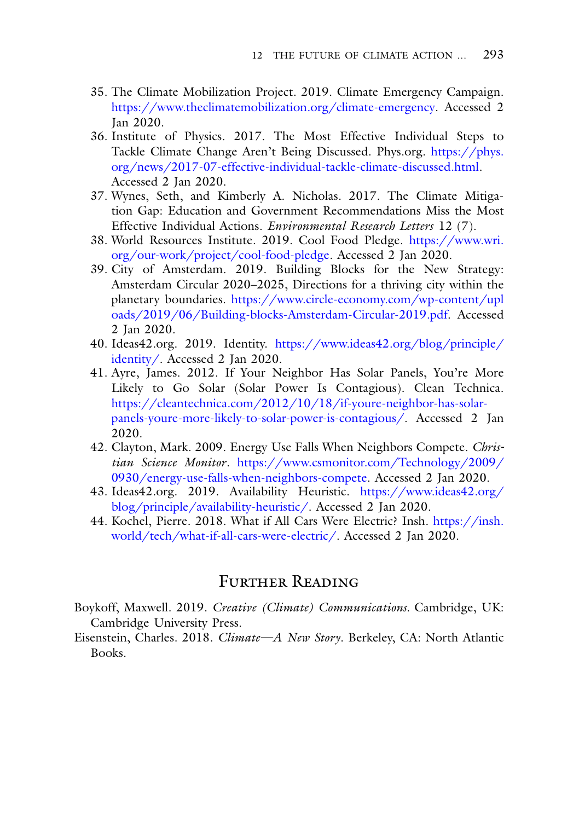- 35. The Climate Mobilization Project. 2019. Climate Emergency Campaign. [https://www.theclimatemobilization.org/climate-emergency.](https://www.theclimatemobilization.org/climate-emergency) Accessed 2 Jan 2020.
- 36. Institute of Physics. 2017. The Most Effective Individual Steps to Tackle Climate Change Aren't Being Discussed. Phys.org. https://phys. [org/news/2017-07-effective-individual-tackle-climate-discussed.html.](https://phys.org/news/2017-07-effective-individual-tackle-climate-discussed.html) Accessed 2 Jan 2020.
- 37. Wynes, Seth, and Kimberly A. Nicholas. 2017. The Climate Mitigation Gap: Education and Government Recommendations Miss the Most Effective Individual Actions. *Environmental Research Letters* 12 (7).
- 38. World Resources Institute. 2019. Cool Food Pledge. https://www.wri. [org/our-work/project/cool-food-pledge. Accessed 2 Jan 2020.](https://www.wri.org/our-work/project/cool-food-pledge)
- 39. City of Amsterdam. 2019. Building Blocks for the New Strategy: Amsterdam Circular 2020–2025, Directions for a thriving city within the planetary boundaries. https://www.circle-economy.com/wp-content/upl [oads/2019/06/Building-blocks-Amsterdam-Circular-2019.pdf. Accessed](https://www.circle-economy.com/wp-content/uploads/2019/06/Building-blocks-Amsterdam-Circular-2019.pdf) 2 Jan 2020.
- 40. Ideas42.org. 2019. Identity. [https://www.ideas42.org/blog/principle/](https://www.ideas42.org/blog/principle/identity/) identity/. Accessed 2 Jan 2020.
- 41. Ayre, James. 2012. If Your Neighbor Has Solar Panels, You're More Likely to Go Solar (Solar Power Is Contagious). Clean Technica. https://cleantechnica.com/2012/10/18/if-youre-neighbor-has-solar[panels-youre-more-likely-to-solar-power-is-contagious/. Accessed 2 J](https://cleantechnica.com/2012/10/18/if-youre-neighbor-has-solar-panels-youre-more-likely-to-solar-power-is-contagious/)an 2020.
- 42. Clayton, Mark. 2009. Energy Use Falls When Neighbors Compete. *Christian Science Monitor*. https://www.csmonitor.com/Technology/2009/ [0930/energy-use-falls-when-neighbors-compete. Accessed 2 Jan 2020.](https://www.csmonitor.com/Technology/2009/0930/energy-use-falls-when-neighbors-compete)
- 43. Ideas42.org. 2019. Availability Heuristic. https://www.ideas42.org/ [blog/principle/availability-heuristic/. Accessed 2 Jan 2020.](https://www.ideas42.org/blog/principle/availability-heuristic/)
- 44. Kochel, Pierre. 2018. What if All Cars Were Electric? Insh. https://insh. [world/tech/what-if-all-cars-were-electric/. Accessed 2 Jan 2020.](https://insh.world/tech/what-if-all-cars-were-electric/)

## FURTHER READING

- Boykoff, Maxwell. 2019. *Creative (Climate) Communications.* Cambridge, UK: Cambridge University Press.
- Eisenstein, Charles. 2018. *Climate—A New Story*. Berkeley, CA: North Atlantic Books.